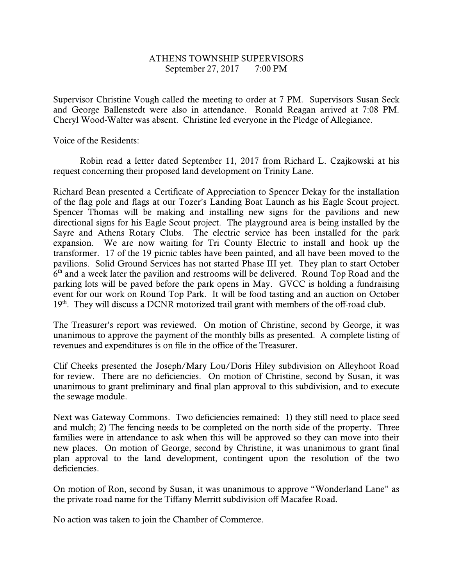## ATHENS TOWNSHIP SUPERVISORS September 27, 2017 7:00 PM

Supervisor Christine Vough called the meeting to order at 7 PM. Supervisors Susan Seck and George Ballenstedt were also in attendance. Ronald Reagan arrived at 7:08 PM. Cheryl Wood-Walter was absent. Christine led everyone in the Pledge of Allegiance.

Voice of the Residents:

 Robin read a letter dated September 11, 2017 from Richard L. Czajkowski at his request concerning their proposed land development on Trinity Lane.

Richard Bean presented a Certificate of Appreciation to Spencer Dekay for the installation of the flag pole and flags at our Tozer's Landing Boat Launch as his Eagle Scout project. Spencer Thomas will be making and installing new signs for the pavilions and new directional signs for his Eagle Scout project. The playground area is being installed by the Sayre and Athens Rotary Clubs. The electric service has been installed for the park expansion. We are now waiting for Tri County Electric to install and hook up the transformer. 17 of the 19 picnic tables have been painted, and all have been moved to the pavilions. Solid Ground Services has not started Phase III yet. They plan to start October  $6<sup>th</sup>$  and a week later the pavilion and restrooms will be delivered. Round Top Road and the parking lots will be paved before the park opens in May. GVCC is holding a fundraising event for our work on Round Top Park. It will be food tasting and an auction on October 19<sup>th</sup>. They will discuss a DCNR motorized trail grant with members of the off-road club.

The Treasurer's report was reviewed. On motion of Christine, second by George, it was unanimous to approve the payment of the monthly bills as presented. A complete listing of revenues and expenditures is on file in the office of the Treasurer.

Clif Cheeks presented the Joseph/Mary Lou/Doris Hiley subdivision on Alleyhoot Road for review. There are no deficiencies. On motion of Christine, second by Susan, it was unanimous to grant preliminary and final plan approval to this subdivision, and to execute the sewage module.

Next was Gateway Commons. Two deficiencies remained: 1) they still need to place seed and mulch; 2) The fencing needs to be completed on the north side of the property. Three families were in attendance to ask when this will be approved so they can move into their new places. On motion of George, second by Christine, it was unanimous to grant final plan approval to the land development, contingent upon the resolution of the two deficiencies.

On motion of Ron, second by Susan, it was unanimous to approve "Wonderland Lane" as the private road name for the Tiffany Merritt subdivision off Macafee Road.

No action was taken to join the Chamber of Commerce.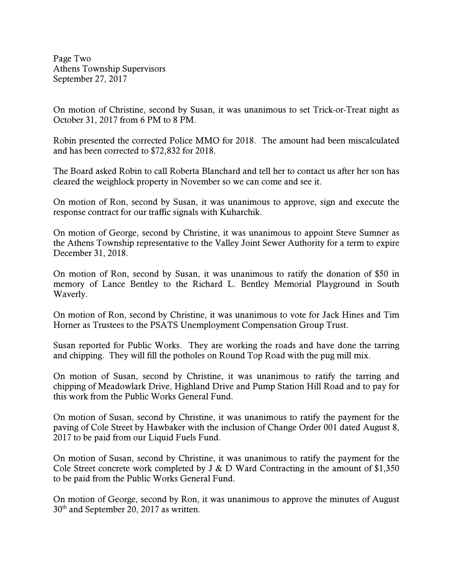Page Two Athens Township Supervisors September 27, 2017

On motion of Christine, second by Susan, it was unanimous to set Trick-or-Treat night as October 31, 2017 from 6 PM to 8 PM.

Robin presented the corrected Police MMO for 2018. The amount had been miscalculated and has been corrected to \$72,832 for 2018.

The Board asked Robin to call Roberta Blanchard and tell her to contact us after her son has cleared the weighlock property in November so we can come and see it.

On motion of Ron, second by Susan, it was unanimous to approve, sign and execute the response contract for our traffic signals with Kuharchik.

On motion of George, second by Christine, it was unanimous to appoint Steve Sumner as the Athens Township representative to the Valley Joint Sewer Authority for a term to expire December 31, 2018.

On motion of Ron, second by Susan, it was unanimous to ratify the donation of \$50 in memory of Lance Bentley to the Richard L. Bentley Memorial Playground in South Waverly.

On motion of Ron, second by Christine, it was unanimous to vote for Jack Hines and Tim Horner as Trustees to the PSATS Unemployment Compensation Group Trust.

Susan reported for Public Works. They are working the roads and have done the tarring and chipping. They will fill the potholes on Round Top Road with the pug mill mix.

On motion of Susan, second by Christine, it was unanimous to ratify the tarring and chipping of Meadowlark Drive, Highland Drive and Pump Station Hill Road and to pay for this work from the Public Works General Fund.

On motion of Susan, second by Christine, it was unanimous to ratify the payment for the paving of Cole Street by Hawbaker with the inclusion of Change Order 001 dated August 8, 2017 to be paid from our Liquid Fuels Fund.

On motion of Susan, second by Christine, it was unanimous to ratify the payment for the Cole Street concrete work completed by J & D Ward Contracting in the amount of \$1,350 to be paid from the Public Works General Fund.

On motion of George, second by Ron, it was unanimous to approve the minutes of August  $30<sup>th</sup>$  and September 20, 2017 as written.